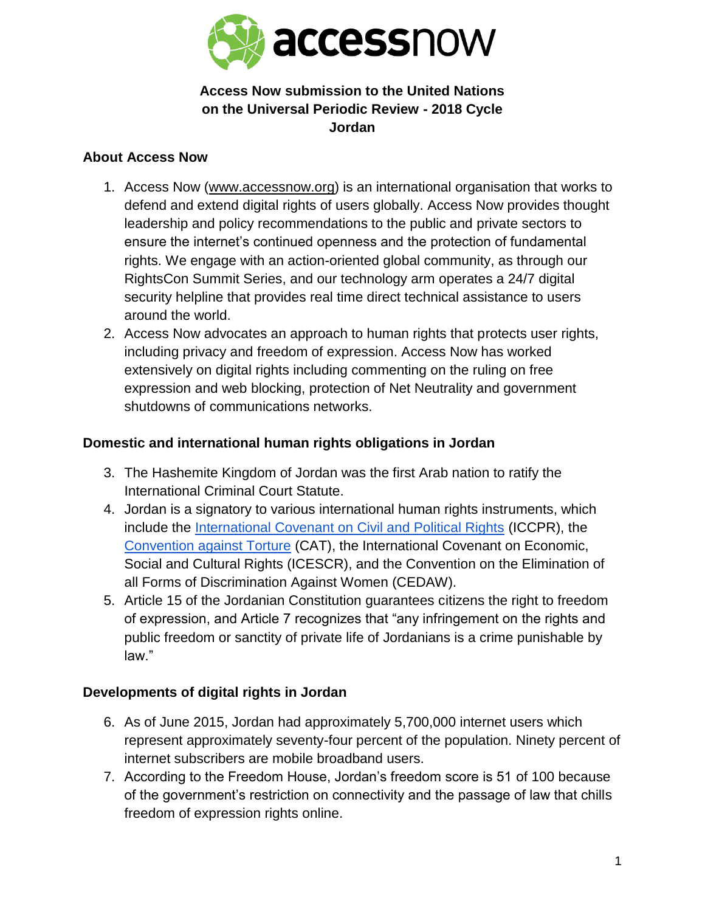

## **Access Now submission to the United Nations on the Universal Periodic Review - 2018 Cycle Jordan**

#### **About Access Now**

- 1. Access Now [\(www.accessnow.org\)](http://www.accessnow.org/) is an international organisation that works to defend and extend digital rights of users globally. Access Now provides thought leadership and policy recommendations to the public and private sectors to ensure the internet's continued openness and the protection of fundamental rights. We engage with an action-oriented global community, as through our RightsCon Summit Series, and our technology arm operates a 24/7 digital security helpline that provides real time direct technical assistance to users around the world.
- 2. Access Now advocates an approach to human rights that protects user rights, including privacy and freedom of expression. Access Now has worked extensively on digital rights including commenting on the ruling on free expression and web blocking, protection of Net Neutrality and government shutdowns of communications networks.

### **Domestic and international human rights obligations in Jordan**

- 3. The Hashemite Kingdom of Jordan was the first Arab nation to ratify the International Criminal Court Statute.
- 4. Jordan is a signatory to various international human rights instruments, which include the [International Covenant on Civil and Political Rights](http://www.ohchr.org/en/professionalinterest/pages/ccpr.aspx) (ICCPR), the [Convention against Torture](http://www.ohchr.org/EN/ProfessionalInterest/Pages/CAT.aspx) (CAT), the International Covenant on Economic, Social and Cultural Rights (ICESCR), and the Convention on the Elimination of all Forms of Discrimination Against Women (CEDAW).
- 5. Article 15 of the Jordanian Constitution guarantees citizens the right to freedom of expression, and Article 7 recognizes that "any infringement on the rights and public freedom or sanctity of private life of Jordanians is a crime punishable by law."

# **Developments of digital rights in Jordan**

- 6. As of June 2015, Jordan had approximately 5,700,000 internet users which represent approximately seventy-four percent of the population. Ninety percent of internet subscribers are mobile broadband users.
- 7. According to the Freedom House, Jordan's freedom score is 51 of 100 because of the government's restriction on connectivity and the passage of law that chills freedom of expression rights online.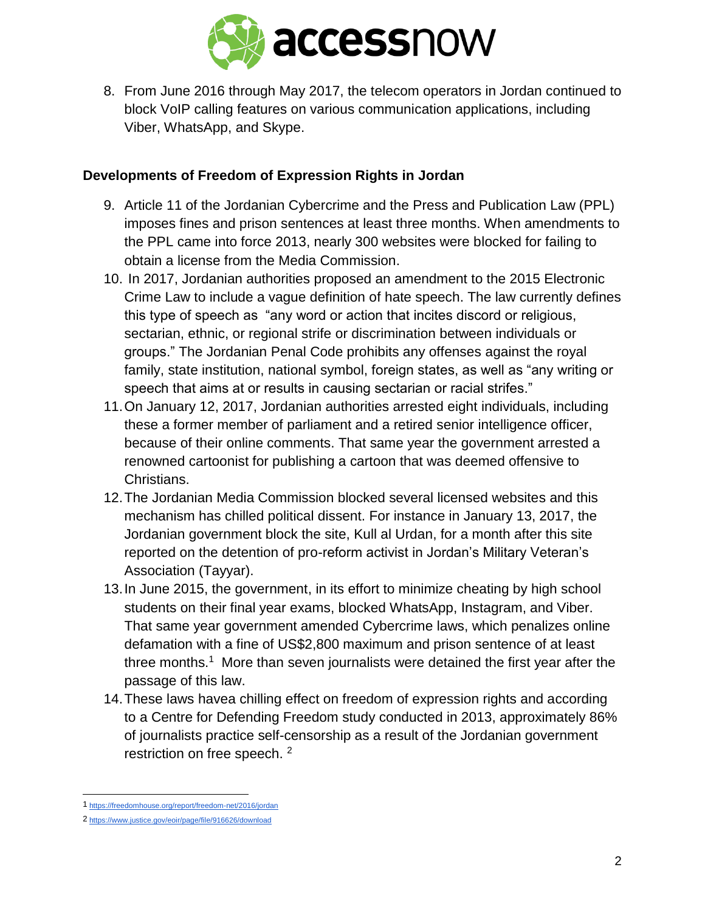

8. From June 2016 through May 2017, the telecom operators in Jordan continued to block VoIP calling features on various communication applications, including Viber, WhatsApp, and Skype.

### **Developments of Freedom of Expression Rights in Jordan**

- 9. Article 11 of the Jordanian Cybercrime and the Press and Publication Law (PPL) imposes fines and prison sentences at least three months. When amendments to the PPL came into force 2013, nearly 300 websites were blocked for failing to obtain a license from the Media Commission.
- 10. In 2017, Jordanian authorities proposed an amendment to the 2015 Electronic Crime Law to include a vague definition of hate speech. The law currently defines this type of speech as "any word or action that incites discord or religious, sectarian, ethnic, or regional strife or discrimination between individuals or groups." The Jordanian Penal Code prohibits any offenses against the royal family, state institution, national symbol, foreign states, as well as "any writing or speech that aims at or results in causing sectarian or racial strifes."
- 11.On January 12, 2017, Jordanian authorities arrested eight individuals, including these a former member of parliament and a retired senior intelligence officer, because of their online comments. That same year the government arrested a renowned cartoonist for publishing a cartoon that was deemed offensive to Christians.
- 12.The Jordanian Media Commission blocked several licensed websites and this mechanism has chilled political dissent. For instance in January 13, 2017, the Jordanian government block the site, Kull al Urdan, for a month after this site reported on the detention of pro-reform activist in Jordan's Military Veteran's Association (Tayyar).
- 13.In June 2015, the government, in its effort to minimize cheating by high school students on their final year exams, blocked WhatsApp, Instagram, and Viber. That same year government amended Cybercrime laws, which penalizes online defamation with a fine of US\$2,800 maximum and prison sentence of at least three months.<sup>1</sup> More than seven journalists were detained the first year after the passage of this law.
- 14.These laws havea chilling effect on freedom of expression rights and according to a Centre for Defending Freedom study conducted in 2013, approximately 86% of journalists practice self-censorship as a result of the Jordanian government restriction on free speech. <sup>2</sup>

 1 <https://freedomhouse.org/report/freedom-net/2016/jordan>

<sup>2</sup> <https://www.justice.gov/eoir/page/file/916626/download>